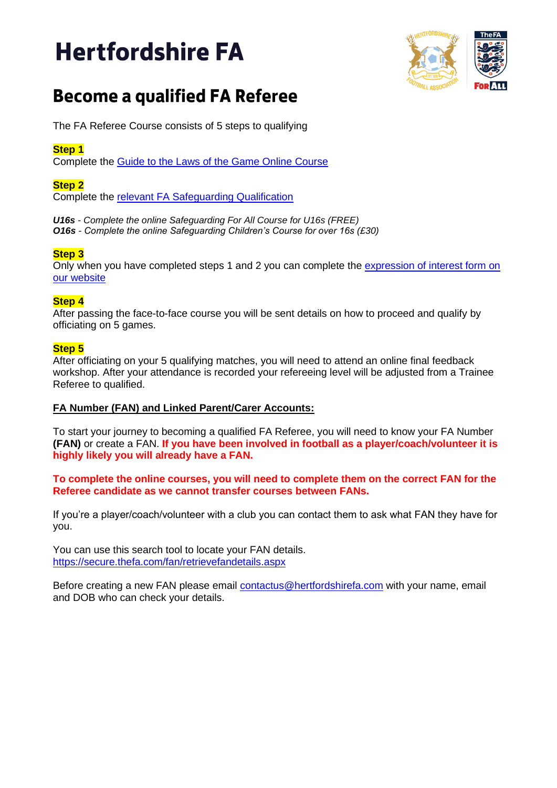# **Hertfordshire FA**



# **Become a qualified FA Referee**

The FA Referee Course consists of 5 steps to qualifying

# **Step 1**

Complete the [Guide to the Laws of the Game Online Course](https://www.hertfordshirefa.com/referees/development-and-courses/the-fa-referees-course)

# **Step 2**

Complete the [relevant FA Safeguarding Qualification](https://www.hertfordshirefa.com/referees/development-and-courses/the-fa-referees-course)

*U16s - Complete the online Safeguarding For All Course for U16s (FREE) O16s - Complete the online Safeguarding Children's Course for over 16s (£30)*

### **Step 3**

Only when you have completed steps 1 and 2 you can complete the [expression of interest form on](https://www.hertfordshirefa.com/referees/development-and-courses/the-fa-referees-course)  [our website](https://www.hertfordshirefa.com/referees/development-and-courses/the-fa-referees-course)

### **Step 4**

After passing the face-to-face course you will be sent details on how to proceed and qualify by officiating on 5 games.

# **Step 5**

After officiating on your 5 qualifying matches, you will need to attend an online final feedback workshop. After your attendance is recorded your refereeing level will be adjusted from a Trainee Referee to qualified.

### **FA Number (FAN) and Linked Parent/Carer Accounts:**

To start your journey to becoming a qualified FA Referee, you will need to know your FA Number **(FAN)** or create a FAN. **If you have been involved in football as a player/coach/volunteer it is highly likely you will already have a FAN.** 

**To complete the online courses, you will need to complete them on the correct FAN for the Referee candidate as we cannot transfer courses between FANs.**

If you're a player/coach/volunteer with a club you can contact them to ask what FAN they have for you.

You can use this search tool to locate your FAN details. <https://secure.thefa.com/fan/retrievefandetails.aspx>

Before creating a new FAN please email **contactus@hertfordshirefa.com** with your name, email and DOB who can check your details.